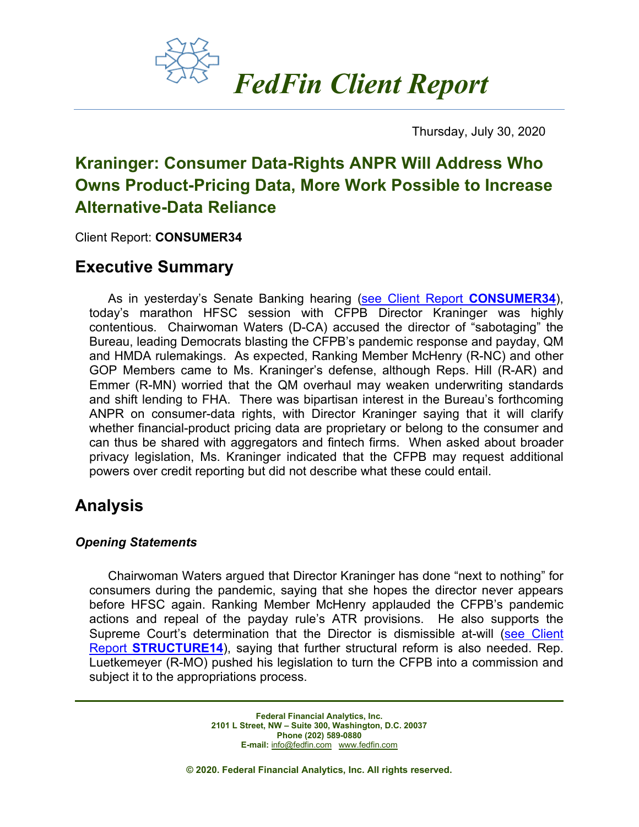

Thursday, July 30, 2020

# **Kraninger: Consumer Data-Rights ANPR Will Address Who Owns Product-Pricing Data, More Work Possible to Increase Alternative-Data Reliance**

Client Report: **CONSUMER34**

### **Executive Summary**

As in yesterday's Senate Banking hearing [\(see Client Report](https://fedfin.com/wp-content/uploads/2020/07/CONSUMER34.pdf) **CONSUMER34**), today's marathon HFSC session with CFPB Director Kraninger was highly contentious. Chairwoman Waters (D-CA) accused the director of "sabotaging" the Bureau, leading Democrats blasting the CFPB's pandemic response and payday, QM and HMDA rulemakings. As expected, Ranking Member McHenry (R-NC) and other GOP Members came to Ms. Kraninger's defense, although Reps. Hill (R-AR) and Emmer (R-MN) worried that the QM overhaul may weaken underwriting standards and shift lending to FHA. There was bipartisan interest in the Bureau's forthcoming ANPR on consumer-data rights, with Director Kraninger saying that it will clarify whether financial-product pricing data are proprietary or belong to the consumer and can thus be shared with aggregators and fintech firms. When asked about broader privacy legislation, Ms. Kraninger indicated that the CFPB may request additional powers over credit reporting but did not describe what these could entail.

## **Analysis**

### *Opening Statements*

Chairwoman Waters argued that Director Kraninger has done "next to nothing" for consumers during the pandemic, saying that she hopes the director never appears before HFSC again. Ranking Member McHenry applauded the CFPB's pandemic actions and repeal of the payday rule's ATR provisions. He also supports the Supreme Court's determination that the Director is dismissible at-will [\(see Client](https://www.fedfin.com/dmdocuments/structure14.pdf)  Report **[STRUCTURE14](https://www.fedfin.com/dmdocuments/structure14.pdf)**), saying that further structural reform is also needed. Rep. Luetkemeyer (R-MO) pushed his legislation to turn the CFPB into a commission and subject it to the appropriations process.

> **Federal Financial Analytics, Inc. 2101 L Street, NW – Suite 300, Washington, D.C. 20037 Phone (202) 589-0880 E-mail:** [info@fedfin.com](mailto:info@fedfin.com)[www.fedfin.com](http://www.fedfin.com/)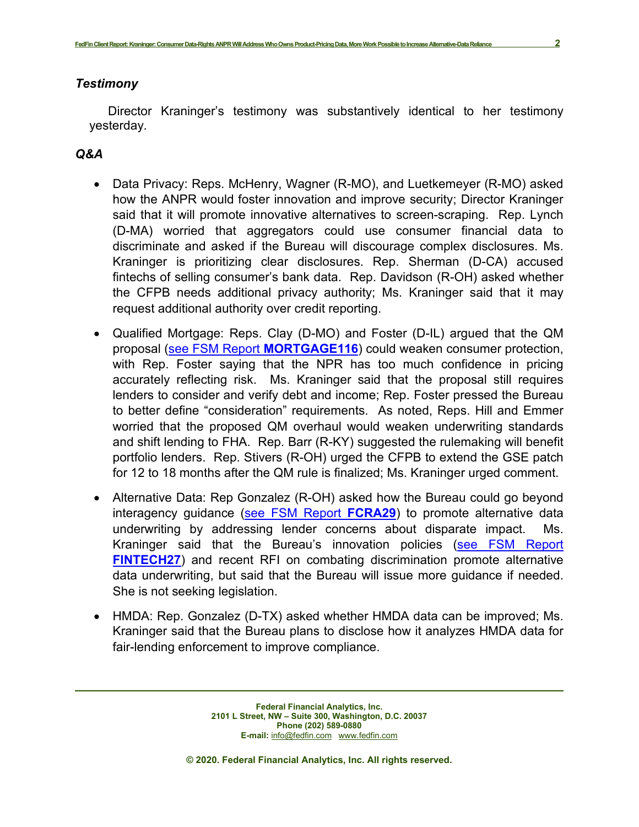#### *Testimony*

Director Kraninger's testimony was substantively identical to her testimony yesterday.

#### *Q&A*

- Data Privacy: Reps. McHenry, Wagner (R-MO), and Luetkemeyer (R-MO) asked how the ANPR would foster innovation and improve security; Director Kraninger said that it will promote innovative alternatives to screen-scraping. Rep. Lynch (D-MA) worried that aggregators could use consumer financial data to discriminate and asked if the Bureau will discourage complex disclosures. Ms. Kraninger is prioritizing clear disclosures. Rep. Sherman (D-CA) accused fintechs of selling consumer's bank data. Rep. Davidson (R-OH) asked whether the CFPB needs additional privacy authority; Ms. Kraninger said that it may request additional authority over credit reporting.
- Qualified Mortgage: Reps. Clay (D-MO) and Foster (D-IL) argued that the QM proposal [\(see FSM Report](https://www.fedfin.com/dmdocuments/mortgage116.pdf) **MORTGAGE116**) could weaken consumer protection, with Rep. Foster saying that the NPR has too much confidence in pricing accurately reflecting risk. Ms. Kraninger said that the proposal still requires lenders to consider and verify debt and income; Rep. Foster pressed the Bureau to better define "consideration" requirements. As noted, Reps. Hill and Emmer worried that the proposed QM overhaul would weaken underwriting standards and shift lending to FHA. Rep. Barr (R-KY) suggested the rulemaking will benefit portfolio lenders. Rep. Stivers (R-OH) urged the CFPB to extend the GSE patch for 12 to 18 months after the QM rule is finalized; Ms. Kraninger urged comment.
- Alternative Data: Rep Gonzalez (R-OH) asked how the Bureau could go beyond interagency guidance [\(see FSM Report](https://fedfin.com/wp-content/uploads/2019/12/fcra29.pdf) **FCRA29**) to promote alternative data underwriting by addressing lender concerns about disparate impact. Ms. Kraninger said that the Bureau's innovation policies (see FSM Report **[FINTECH27](https://fedfin.com/wp-content/uploads/2019/09/fintech27.pdf)**) and recent RFI on combating discrimination promote alternative data underwriting, but said that the Bureau will issue more guidance if needed. She is not seeking legislation.
- HMDA: Rep. Gonzalez (D-TX) asked whether HMDA data can be improved; Ms. Kraninger said that the Bureau plans to disclose how it analyzes HMDA data for fair-lending enforcement to improve compliance.

**Federal Financial Analytics, Inc. 2101 L Street, NW – Suite 300, Washington, D.C. 20037 Phone (202) 589-0880 E-mail:** [info@fedfin.com](mailto:info@fedfin.com)[www.fedfin.com](http://www.fedfin.com/)